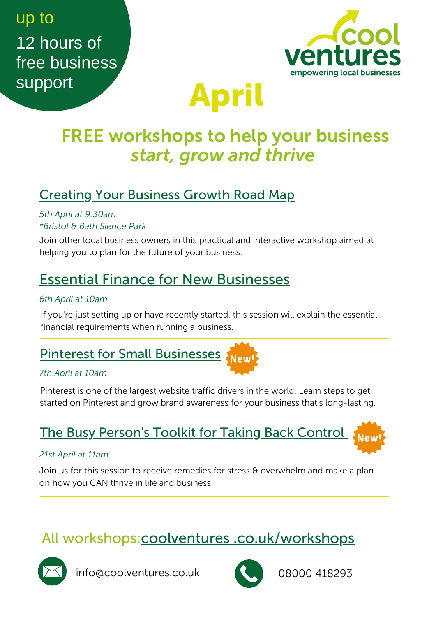## up to 12 hours of free business support



# April

## FREE workshops to help your business *start, grow and thrive*

### Creating Your [Business](https://www.eventbrite.co.uk/e/creating-your-business-growth-road-map-registration-239947528517) Growth Road Map

*5th April at 9:30am \*Bristol & Bath Sience Park*

Join other local business owners in this practical and interactive workshop aimed at helping you to plan for the future of your business.

### Essential Finance for New [Businesses](https://www.eventbrite.co.uk/e/227697688917)

#### *6th April at 10am*

If you're just setting up or have recently started, this session will explain the essential financial requirements when running a business.

## Pinterest for Small [Businesses](https://www.eventbrite.co.uk/e/292302854707)

#### *7th April at 10am*

Pinterest is one of the largest website traffic drivers in the world. Learn steps to get started on Pinterest and grow brand awareness for your business that's long-lasting.

### The Busy [Person's](https://www.eventbrite.co.uk/e/244401119327) Toolkit for Taking Back Contro[l](https://www.eventbrite.co.uk/e/244401119327)

#### *21st April at 11am*

Join us for this session to receive remedies for stress  $\theta$  overwhelm and make a plan on how you CAN thrive in life and business!

### All workshops:coolventures [.co.uk/workshops](https://coolventures.co.uk/training/workshops)



info@coolventures.co.uk 08000 418293

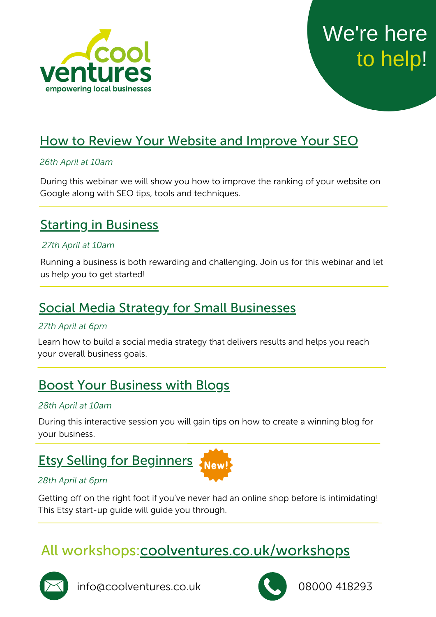



### How to Review Your Website and Improve [Your SEO](https://www.eventbrite.co.uk/e/265890193727)

#### *26th April at 10am*

During this webinar we will show you how to improve the ranking of your website on Google along with SEO tips, tools and techniques.

### **Starting in [Business](https://www.eventbrite.co.uk/e/290361568267)**

#### *27th April at 10am*

Running a business is both rewarding and challenging. Join us for this webinar and let us help you to get started!

### Social Media Strategy for Small [Businesses](https://www.eventbrite.co.uk/e/269604734017)

#### *27th April at 6pm*

Learn how to build a social media strategy that delivers results and helps you reach your overall business goals.

### Boost Your [Business](https://www.eventbrite.co.uk/e/249153253087) with Blogs

#### *28th April at 10am*

During this interactive session you will gain tips on how to create a winning blog for your business.

### Etsy Selling for [Beginners](https://www.eventbrite.co.uk/e/274733825267)



#### *28th April at 6pm*

Getting off on the right foot if you've never had an online shop before is intimidating! This Etsy start-up guide will guide you through.

### All workshops[:coolventures.co.uk/workshops](http://www.coolventures.co.uk/training/workshops)



info@coolventures.co.uk 08000 418293